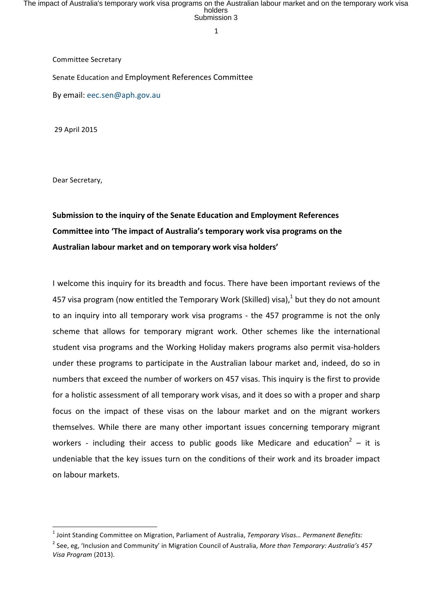1

Committee Secretary

Senate Education and Employment References Committee

By email: eec.sen@aph.gov.au

<u> 1989 - Jan Samuel Barbara, margaret e</u>

29 April 2015

Dear Secretary,

## **Submission to the inquiry of the Senate Education and Employment References Committee into 'The impact of Australia's temporary work visa programs on the** Australian labour market and on temporary work visa holders'

I welcome this inquiry for its breadth and focus. There have been important reviews of the 457 visa program (now entitled the Temporary Work (Skilled) visa),<sup>1</sup> but they do not amount to an inquiry into all temporary work visa programs - the 457 programme is not the only scheme that allows for temporary migrant work. Other schemes like the international student visa programs and the Working Holiday makers programs also permit visa-holders under these programs to participate in the Australian labour market and, indeed, do so in numbers that exceed the number of workers on 457 visas. This inquiry is the first to provide for a holistic assessment of all temporary work visas, and it does so with a proper and sharp focus on the impact of these visas on the labour market and on the migrant workers themselves. While there are many other important issues concerning temporary migrant workers - including their access to public goods like Medicare and education<sup>2</sup> – it is undeniable that the key issues turn on the conditions of their work and its broader impact on labour markets.

<sup>&</sup>lt;sup>1</sup> Joint Standing Committee on Migration, Parliament of Australia, *Temporary Visas... Permanent Benefits:* 

<sup>&</sup>lt;sup>2</sup> See, eg, 'Inclusion and Community' in Migration Council of Australia, *More than Temporary: Australia's 457 Visa Program* (2013).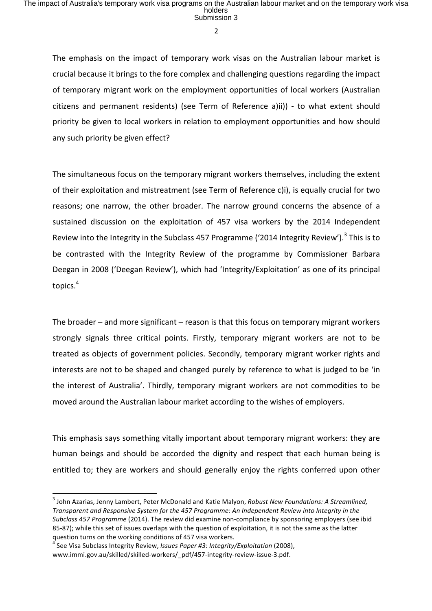The emphasis on the impact of temporary work visas on the Australian labour market is crucial because it brings to the fore complex and challenging questions regarding the impact of temporary migrant work on the employment opportunities of local workers (Australian citizens and permanent residents) (see Term of Reference a)ii)) - to what extent should priority be given to local workers in relation to employment opportunities and how should any such priority be given effect?

The simultaneous focus on the temporary migrant workers themselves, including the extent of their exploitation and mistreatment (see Term of Reference c)i), is equally crucial for two reasons; one narrow, the other broader. The narrow ground concerns the absence of a sustained discussion on the exploitation of 457 visa workers by the 2014 Independent Review into the Integrity in the Subclass 457 Programme ('2014 Integrity Review').<sup>3</sup> This is to be contrasted with the Integrity Review of the programme by Commissioner Barbara Deegan in 2008 ('Deegan Review'), which had 'Integrity/Exploitation' as one of its principal topics.<sup>4</sup>

The broader  $-$  and more significant  $-$  reason is that this focus on temporary migrant workers strongly signals three critical points. Firstly, temporary migrant workers are not to be treated as objects of government policies. Secondly, temporary migrant worker rights and interests are not to be shaped and changed purely by reference to what is judged to be 'in the interest of Australia'. Thirdly, temporary migrant workers are not commodities to be moved around the Australian labour market according to the wishes of employers.

This emphasis says something vitally important about temporary migrant workers: they are human beings and should be accorded the dignity and respect that each human being is entitled to; they are workers and should generally enjoy the rights conferred upon other

<sup>&</sup>lt;sup>3</sup> John Azarias, Jenny Lambert, Peter McDonald and Katie Malyon, Robust New Foundations: A Streamlined, *Transparent and Responsive System for the 457 Programme: An Independent Review into Integrity in the Subclass 457 Programme* (2014). The review did examine non-compliance by sponsoring employers (see ibid 85-87); while this set of issues overlaps with the question of exploitation, it is not the same as the latter question turns on the working conditions of 457 visa workers.

<sup>&</sup>lt;sup>4</sup> See Visa Subclass Integrity Review, *Issues Paper #3: Integrity/Exploitation* (2008), www.immi.gov.au/skilled/skilled-workers/\_pdf/457-integrity-review-issue-3.pdf.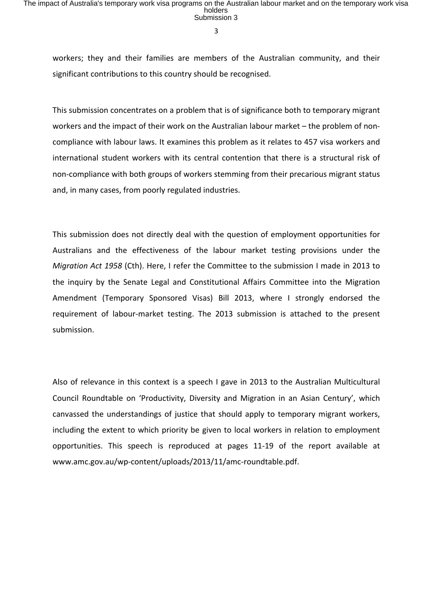workers; they and their families are members of the Australian community, and their significant contributions to this country should be recognised.

This submission concentrates on a problem that is of significance both to temporary migrant workers and the impact of their work on the Australian labour market  $-$  the problem of noncompliance with labour laws. It examines this problem as it relates to 457 visa workers and international student workers with its central contention that there is a structural risk of non-compliance with both groups of workers stemming from their precarious migrant status and, in many cases, from poorly regulated industries.

This submission does not directly deal with the question of employment opportunities for Australians and the effectiveness of the labour market testing provisions under the *Migration Act 1958* (Cth). Here, I refer the Committee to the submission I made in 2013 to the inquiry by the Senate Legal and Constitutional Affairs Committee into the Migration Amendment (Temporary Sponsored Visas) Bill 2013, where I strongly endorsed the requirement of labour-market testing. The 2013 submission is attached to the present submission.

Also of relevance in this context is a speech I gave in 2013 to the Australian Multicultural Council Roundtable on 'Productivity, Diversity and Migration in an Asian Century', which canvassed the understandings of justice that should apply to temporary migrant workers, including the extent to which priority be given to local workers in relation to employment opportunities. This speech is reproduced at pages 11-19 of the report available at www.amc.gov.au/wp-content/uploads/2013/11/amc-roundtable.pdf.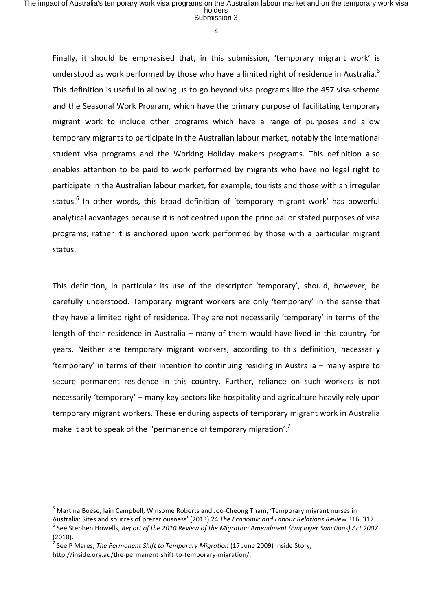4

Finally, it should be emphasised that, in this submission, 'temporary migrant work' is understood as work performed by those who have a limited right of residence in Australia.<sup>5</sup> This definition is useful in allowing us to go beyond visa programs like the 457 visa scheme and the Seasonal Work Program, which have the primary purpose of facilitating temporary migrant work to include other programs which have a range of purposes and allow temporary migrants to participate in the Australian labour market, notably the international student visa programs and the Working Holiday makers programs. This definition also enables attention to be paid to work performed by migrants who have no legal right to participate in the Australian labour market, for example, tourists and those with an irregular status.<sup>6</sup> In other words, this broad definition of 'temporary migrant work' has powerful analytical advantages because it is not centred upon the principal or stated purposes of visa programs; rather it is anchored upon work performed by those with a particular migrant status.

This definition, in particular its use of the descriptor 'temporary', should, however, be carefully understood. Temporary migrant workers are only 'temporary' in the sense that they have a limited right of residence. They are not necessarily 'temporary' in terms of the length of their residence in Australia – many of them would have lived in this country for years. Neither are temporary migrant workers, according to this definition, necessarily 'temporary' in terms of their intention to continuing residing in Australia – many aspire to secure permanent residence in this country. Further, reliance on such workers is not necessarily 'temporary' – many key sectors like hospitality and agriculture heavily rely upon temporary migrant workers. These enduring aspects of temporary migrant work in Australia make it apt to speak of the 'permanence of temporary migration'.<sup>7</sup>

<sup>&</sup>lt;sup>5</sup> Martina Boese, Iain Campbell, Winsome Roberts and Joo-Cheong Tham, 'Temporary migrant nurses in

Australia: Sites and sources of precariousness' (2013) 24 The Economic and Labour Relations Review 316, 317.<br><sup>6</sup> See Stephen Howells, Report of the 2010 Review of the Migration Amendment (Employer Sanctions) Act 2007 (2010).

See P Mares, *The Permanent Shift to Temporary Migration* (17 June 2009) Inside Story, http://inside.org.au/the-permanent-shift-to-temporary-migration/.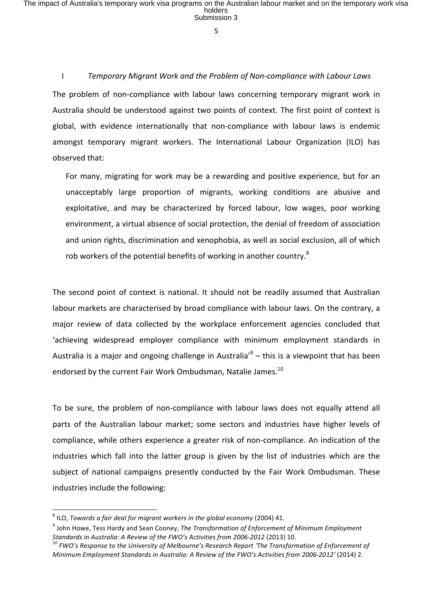5

## I **Temporary Migrant Work and the Problem of Non-compliance with Labour Laws** The problem of non-compliance with labour laws concerning temporary migrant work in Australia should be understood against two points of context. The first point of context is global, with evidence internationally that non-compliance with labour laws is endemic amongst temporary migrant workers. The International Labour Organization (ILO) has

observed that:

For many, migrating for work may be a rewarding and positive experience, but for an unacceptably large proportion of migrants, working conditions are abusive and exploitative, and may be characterized by forced labour, low wages, poor working environment, a virtual absence of social protection, the denial of freedom of association and union rights, discrimination and xenophobia, as well as social exclusion, all of which rob workers of the potential benefits of working in another country.<sup>8</sup>

The second point of context is national. It should not be readily assumed that Australian labour markets are characterised by broad compliance with labour laws. On the contrary, a major review of data collected by the workplace enforcement agencies concluded that 'achieving widespread employer compliance with minimum employment standards in Australia is a major and ongoing challenge in Australia'<sup>9</sup> – this is a viewpoint that has been endorsed by the current Fair Work Ombudsman, Natalie James.<sup>10</sup>

To be sure, the problem of non-compliance with labour laws does not equally attend all parts of the Australian labour market; some sectors and industries have higher levels of compliance, while others experience a greater risk of non-compliance. An indication of the industries which fall into the latter group is given by the list of industries which are the subject of national campaigns presently conducted by the Fair Work Ombudsman. These industries include the following:

 

<sup>&</sup>lt;sup>8</sup> ILO, *Towards a fair deal for migrant workers in the global economy* (2004) 41.

<sup>&</sup>lt;sup>9</sup> John Howe, Tess Hardy and Sean Cooney, *The Transformation of Enforcement of Minimum Employment* 

*Standards in Australia: A Review of the FWO's Activities from 2006-2012* (2013) 10.<br><sup>10</sup> *FWO's Response to the University of Melbourne's Research Report 'The Transformation of Enforcement of Minimum Employment Standards in Australia: A Review of the FWO's Activities from 2006-2012'* (2014) 2.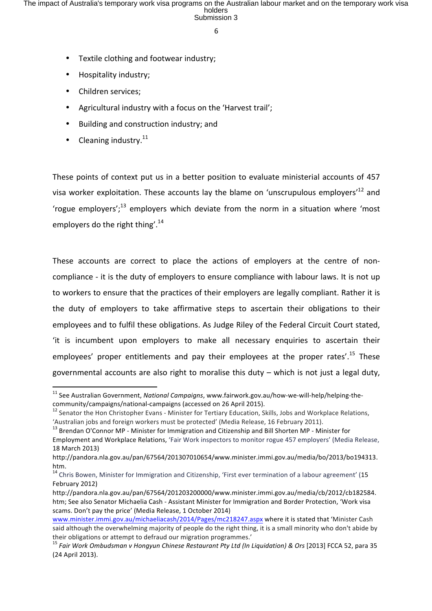- Textile clothing and footwear industry;
- Hospitality industry;
- Children services;
- Agricultural industry with a focus on the 'Harvest trail':
- Building and construction industry; and
- Cleaning industry. $^{11}$

<u> 1989 - Jan Samuel Barbara, margaret e</u>

These points of context put us in a better position to evaluate ministerial accounts of 457 visa worker exploitation. These accounts lay the blame on 'unscrupulous employers'<sup>12</sup> and 'rogue employers';<sup>13</sup> employers which deviate from the norm in a situation where 'most employers do the right thing'.<sup>14</sup>

These accounts are correct to place the actions of employers at the centre of noncompliance - it is the duty of employers to ensure compliance with labour laws. It is not up to workers to ensure that the practices of their employers are legally compliant. Rather it is the duty of employers to take affirmative steps to ascertain their obligations to their employees and to fulfil these obligations. As Judge Riley of the Federal Circuit Court stated, 'it is incumbent upon employers to make all necessary enquiries to ascertain their employees' proper entitlements and pay their employees at the proper rates'.<sup>15</sup> These governmental accounts are also right to moralise this  $duty - which$  is not just a legal duty,

<sup>&</sup>lt;sup>11</sup> See Australian Government, *National Campaigns*, www.fairwork.gov.au/how-we-will-help/helping-thecommunity/campaigns/national-campaigns (accessed on 26 April 2015).<br><sup>12</sup> Senator the Hon Christopher Evans - Minister for Tertiary Education, Skills, Jobs and Workplace Relations,

<sup>&#</sup>x27;Australian jobs and foreign workers must be protected' (Media Release, 16 February 2011).

<sup>&</sup>lt;sup>13</sup> Brendan O'Connor MP - Minister for Immigration and Citizenship and Bill Shorten MP - Minister for Employment and Workplace Relations, 'Fair Work inspectors to monitor rogue 457 employers' (Media Release, 18 March 2013) 

http://pandora.nla.gov.au/pan/67564/201307010654/www.minister.immi.gov.au/media/bo/2013/bo194313. htm.

<sup>&</sup>lt;sup>14</sup> Chris Bowen, Minister for Immigration and Citizenship, 'First ever termination of a labour agreement' (15 February 2012)

http://pandora.nla.gov.au/pan/67564/201203200000/www.minister.immi.gov.au/media/cb/2012/cb182584. htm; See also Senator Michaelia Cash - Assistant Minister for Immigration and Border Protection, 'Work visa scams. Don't pay the price' (Media Release, 1 October 2014)

www.minister.immi.gov.au/michaeliacash/2014/Pages/mc218247.aspx where it is stated that 'Minister Cash said although the overwhelming majority of people do the right thing, it is a small minority who don't abide by their obligations or attempt to defraud our migration programmes.'

<sup>&</sup>lt;sup>15</sup> Fair Work Ombudsman v Hongyun Chinese Restaurant Pty Ltd (In Liquidation) & Ors [2013] FCCA 52, para 35 (24 April 2013).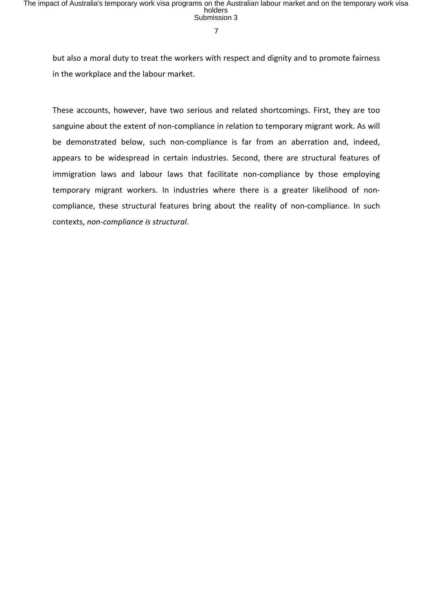but also a moral duty to treat the workers with respect and dignity and to promote fairness in the workplace and the labour market.

These accounts, however, have two serious and related shortcomings. First, they are too sanguine about the extent of non-compliance in relation to temporary migrant work. As will be demonstrated below, such non-compliance is far from an aberration and, indeed, appears to be widespread in certain industries. Second, there are structural features of immigration laws and labour laws that facilitate non-compliance by those employing temporary migrant workers. In industries where there is a greater likelihood of noncompliance, these structural features bring about the reality of non-compliance. In such contexts, non-compliance is structural.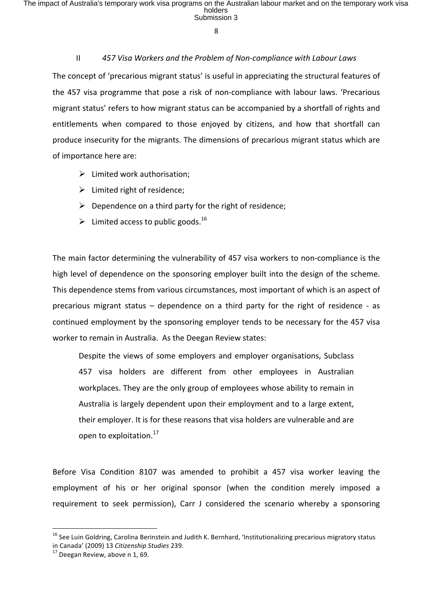## II 457 Visa Workers and the Problem of Non-compliance with Labour Laws

The concept of 'precarious migrant status' is useful in appreciating the structural features of the 457 visa programme that pose a risk of non-compliance with labour laws. 'Precarious migrant status' refers to how migrant status can be accompanied by a shortfall of rights and entitlements when compared to those enjoyed by citizens, and how that shortfall can produce insecurity for the migrants. The dimensions of precarious migrant status which are of importance here are:

- $\triangleright$  Limited work authorisation;
- $\triangleright$  Limited right of residence;
- $\triangleright$  Dependence on a third party for the right of residence;
- $\triangleright$  Limited access to public goods.<sup>16</sup>

The main factor determining the vulnerability of 457 visa workers to non-compliance is the high level of dependence on the sponsoring employer built into the design of the scheme. This dependence stems from various circumstances, most important of which is an aspect of precarious migrant status  $-$  dependence on a third party for the right of residence - as continued employment by the sponsoring employer tends to be necessary for the 457 visa worker to remain in Australia. As the Deegan Review states:

Despite the views of some employers and employer organisations, Subclass 457 visa holders are different from other employees in Australian workplaces. They are the only group of employees whose ability to remain in Australia is largely dependent upon their employment and to a large extent, their employer. It is for these reasons that visa holders are vulnerable and are open to exploitation.<sup>17</sup>

Before Visa Condition 8107 was amended to prohibit a 457 visa worker leaving the employment of his or her original sponsor (when the condition merely imposed a requirement to seek permission), Carr J considered the scenario whereby a sponsoring

 $16$  See Luin Goldring, Carolina Berinstein and Judith K. Bernhard, 'Institutionalizing precarious migratory status in Canada' (2009) 13 *Citizenship Studies* 239.<br><sup>17</sup> Deegan Review, above n 1, 69.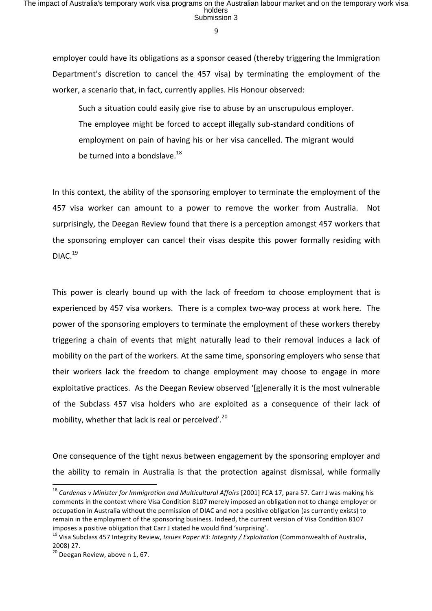employer could have its obligations as a sponsor ceased (thereby triggering the Immigration Department's discretion to cancel the 457 visa) by terminating the employment of the worker, a scenario that, in fact, currently applies. His Honour observed:

Such a situation could easily give rise to abuse by an unscrupulous employer. The employee might be forced to accept illegally sub-standard conditions of employment on pain of having his or her visa cancelled. The migrant would be turned into a bondslave. $^{18}$ 

In this context, the ability of the sponsoring employer to terminate the employment of the 457 visa worker can amount to a power to remove the worker from Australia. Not surprisingly, the Deegan Review found that there is a perception amongst 457 workers that the sponsoring employer can cancel their visas despite this power formally residing with DIAC.<sup>19</sup>

This power is clearly bound up with the lack of freedom to choose employment that is experienced by 457 visa workers. There is a complex two-way process at work here. The power of the sponsoring employers to terminate the employment of these workers thereby triggering a chain of events that might naturally lead to their removal induces a lack of mobility on the part of the workers. At the same time, sponsoring employers who sense that their workers lack the freedom to change employment may choose to engage in more exploitative practices. As the Deegan Review observed '[g]enerally it is the most vulnerable of the Subclass 457 visa holders who are exploited as a consequence of their lack of mobility, whether that lack is real or perceived'.<sup>20</sup>

One consequence of the tight nexus between engagement by the sponsoring employer and the ability to remain in Australia is that the protection against dismissal, while formally

<sup>&</sup>lt;sup>18</sup> Cardenas v Minister for Immigration and Multicultural Affairs [2001] FCA 17, para 57. Carr J was making his comments in the context where Visa Condition 8107 merely imposed an obligation not to change employer or occupation in Australia without the permission of DIAC and *not* a positive obligation (as currently exists) to remain in the employment of the sponsoring business. Indeed, the current version of Visa Condition 8107

imposes a positive obligation that Carr J stated he would find 'surprising'.<br><sup>19</sup> Visa Subclass 457 Integrity Review, *Issues Paper #3: Integrity / Exploitation* (Commonwealth of Australia, 2008) 27.

 $20$  Deegan Review, above n 1, 67.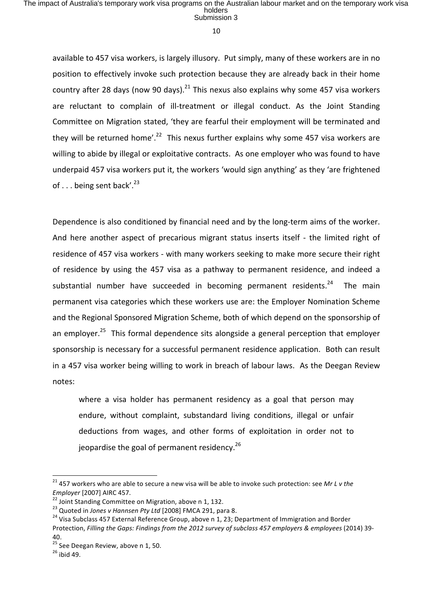10

available to 457 visa workers, is largely illusory. Put simply, many of these workers are in no position to effectively invoke such protection because they are already back in their home country after 28 days (now 90 days).<sup>21</sup> This nexus also explains why some 457 visa workers are reluctant to complain of ill-treatment or illegal conduct. As the Joint Standing Committee on Migration stated, 'they are fearful their employment will be terminated and they will be returned home'.<sup>22</sup> This nexus further explains why some 457 visa workers are willing to abide by illegal or exploitative contracts. As one employer who was found to have underpaid 457 visa workers put it, the workers 'would sign anything' as they 'are frightened of  $\ldots$  being sent back'.<sup>23</sup>

Dependence is also conditioned by financial need and by the long-term aims of the worker. And here another aspect of precarious migrant status inserts itself - the limited right of residence of 457 visa workers - with many workers seeking to make more secure their right of residence by using the 457 visa as a pathway to permanent residence, and indeed a substantial number have succeeded in becoming permanent residents. $24$  The main permanent visa categories which these workers use are: the Employer Nomination Scheme and the Regional Sponsored Migration Scheme, both of which depend on the sponsorship of an employer.<sup>25</sup> This formal dependence sits alongside a general perception that employer sponsorship is necessary for a successful permanent residence application. Both can result in a 457 visa worker being willing to work in breach of labour laws. As the Deegan Review notes:

where a visa holder has permanent residency as a goal that person may endure, without complaint, substandard living conditions, illegal or unfair deductions from wages, and other forms of exploitation in order not to jeopardise the goal of permanent residency. $26$ 

<sup>&</sup>lt;sup>21</sup> 457 workers who are able to secure a new visa will be able to invoke such protection: see Mr L v the Employer [2007] AIRC 457.<br><sup>22</sup> Joint Standing Committee on Migration, above n 1, 132.<br><sup>23</sup> Quoted in *Jones v Hannsen Pty Ltd* [2008] FMCA 291, para 8.<br><sup>24</sup> Visa Subclass 457 External Reference Group, above n 1, 23; Depart

Protection, Filling the Gaps: Findings from the 2012 survey of subclass 457 employers & employees (2014) 39-40.

<sup>&</sup>lt;sup>25</sup> See Deegan Review, above n 1, 50.<br><sup>26</sup> ibid 49.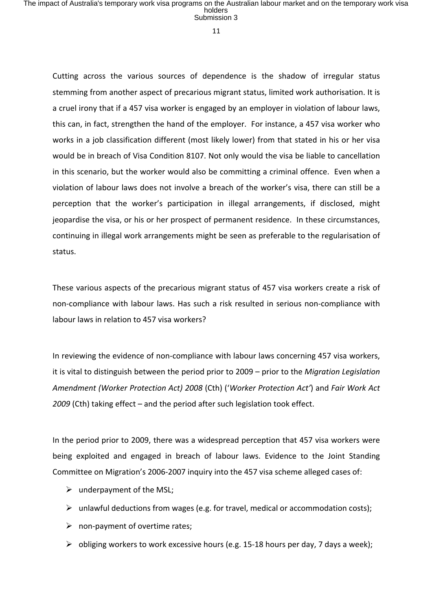11

Cutting across the various sources of dependence is the shadow of irregular status stemming from another aspect of precarious migrant status, limited work authorisation. It is a cruel irony that if a 457 visa worker is engaged by an employer in violation of labour laws, this can, in fact, strengthen the hand of the employer. For instance, a 457 visa worker who works in a job classification different (most likely lower) from that stated in his or her visa would be in breach of Visa Condition 8107. Not only would the visa be liable to cancellation in this scenario, but the worker would also be committing a criminal offence. Even when a violation of labour laws does not involve a breach of the worker's visa, there can still be a perception that the worker's participation in illegal arrangements, if disclosed, might jeopardise the visa, or his or her prospect of permanent residence. In these circumstances, continuing in illegal work arrangements might be seen as preferable to the regularisation of status.

These various aspects of the precarious migrant status of 457 visa workers create a risk of non-compliance with labour laws. Has such a risk resulted in serious non-compliance with labour laws in relation to 457 visa workers?

In reviewing the evidence of non-compliance with labour laws concerning 457 visa workers, it is vital to distinguish between the period prior to 2009 – prior to the *Migration Legislation Amendment (Worker Protection Act) 2008* (Cth) ('*Worker Protection Act'*) and *Fair Work Act* 2009 (Cth) taking effect – and the period after such legislation took effect.

In the period prior to 2009, there was a widespread perception that 457 visa workers were being exploited and engaged in breach of labour laws. Evidence to the Joint Standing Committee on Migration's 2006-2007 inquiry into the 457 visa scheme alleged cases of:

- $\triangleright$  underpayment of the MSL;
- $\triangleright$  unlawful deductions from wages (e.g. for travel, medical or accommodation costs);
- $\triangleright$  non-payment of overtime rates;
- $\triangleright$  obliging workers to work excessive hours (e.g. 15-18 hours per day, 7 days a week);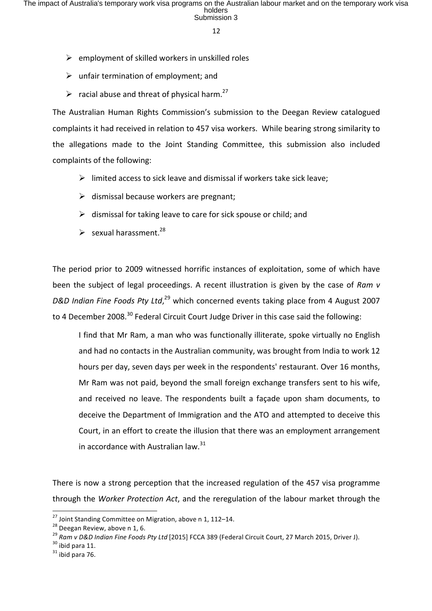- $\triangleright$  employment of skilled workers in unskilled roles
- $\triangleright$  unfair termination of employment; and
- $\triangleright$  racial abuse and threat of physical harm.<sup>27</sup>

The Australian Human Rights Commission's submission to the Deegan Review catalogued complaints it had received in relation to 457 visa workers. While bearing strong similarity to the allegations made to the Joint Standing Committee, this submission also included complaints of the following:

- $\triangleright$  limited access to sick leave and dismissal if workers take sick leave;
- $\triangleright$  dismissal because workers are pregnant;
- $\triangleright$  dismissal for taking leave to care for sick spouse or child; and
- $\triangleright$  sexual harassment.<sup>28</sup>

The period prior to 2009 witnessed horrific instances of exploitation, some of which have been the subject of legal proceedings. A recent illustration is given by the case of Ram v D&D Indian Fine Foods Pty Ltd,<sup>29</sup> which concerned events taking place from 4 August 2007 to 4 December 2008.<sup>30</sup> Federal Circuit Court Judge Driver in this case said the following:

I find that Mr Ram, a man who was functionally illiterate, spoke virtually no English and had no contacts in the Australian community, was brought from India to work 12 hours per day, seven days per week in the respondents' restaurant. Over 16 months, Mr Ram was not paid, beyond the small foreign exchange transfers sent to his wife, and received no leave. The respondents built a façade upon sham documents, to deceive the Department of Immigration and the ATO and attempted to deceive this Court, in an effort to create the illusion that there was an employment arrangement in accordance with Australian law. $31$ 

There is now a strong perception that the increased regulation of the 457 visa programme through the *Worker Protection Act*, and the reregulation of the labour market through the

 

<sup>&</sup>lt;sup>27</sup> Joint Standing Committee on Migration, above n 1, 112–14.<br><sup>28</sup> Deegan Review, above n 1, 6.<br><sup>29</sup> Ram v D&D Indian Fine Foods Pty Ltd [2015] FCCA 389 (Federal Circuit Court, 27 March 2015, Driver J).<br><sup>30</sup> ibid para 11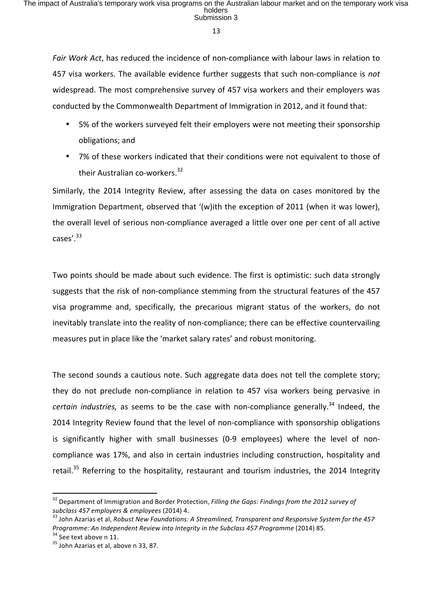Fair Work Act, has reduced the incidence of non-compliance with labour laws in relation to 457 visa workers. The available evidence further suggests that such non-compliance is not widespread. The most comprehensive survey of 457 visa workers and their employers was conducted by the Commonwealth Department of Immigration in 2012, and it found that:

- 5% of the workers surveyed felt their employers were not meeting their sponsorship obligations; and
- 7% of these workers indicated that their conditions were not equivalent to those of their Australian co-workers. $32$

Similarly, the 2014 Integrity Review, after assessing the data on cases monitored by the Immigration Department, observed that '(w)ith the exception of 2011 (when it was lower), the overall level of serious non-compliance averaged a little over one per cent of all active cases'.<sup>33</sup>

Two points should be made about such evidence. The first is optimistic: such data strongly suggests that the risk of non-compliance stemming from the structural features of the 457 visa programme and, specifically, the precarious migrant status of the workers, do not inevitably translate into the reality of non-compliance; there can be effective countervailing measures put in place like the 'market salary rates' and robust monitoring.

The second sounds a cautious note. Such aggregate data does not tell the complete story; they do not preclude non-compliance in relation to 457 visa workers being pervasive in *certain industries,* as seems to be the case with non-compliance generally.<sup>34</sup> Indeed. the 2014 Integrity Review found that the level of non-compliance with sponsorship obligations is significantly higher with small businesses (0-9 employees) where the level of noncompliance was 17%, and also in certain industries including construction, hospitality and retail.<sup>35</sup> Referring to the hospitality, restaurant and tourism industries, the 2014 Integrity

<sup>&</sup>lt;sup>32</sup> Department of Immigration and Border Protection, *Filling the Gaps: Findings from the 2012 survey of subclass* 457 employers & employees (2014) 4.<br><sup>33</sup> John Azarias et al, Robust New Foundations: A Streamlined, Transparent and Responsive System for the 457

*Programme:* An Independent Review into Integrity in the Subclass 457 Programme (2014) 85.<br><sup>34</sup> See text above n 11.<br><sup>35</sup> John Azarias et al, above n 33, 87.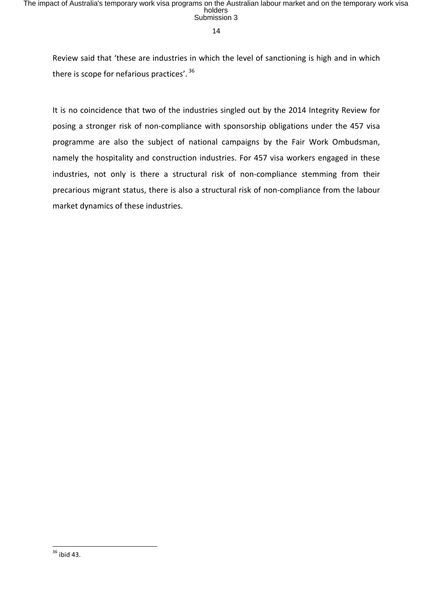Review said that 'these are industries in which the level of sanctioning is high and in which there is scope for nefarious practices'.  $36$ 

It is no coincidence that two of the industries singled out by the 2014 Integrity Review for posing a stronger risk of non-compliance with sponsorship obligations under the 457 visa programme are also the subject of national campaigns by the Fair Work Ombudsman, namely the hospitality and construction industries. For 457 visa workers engaged in these industries, not only is there a structural risk of non-compliance stemming from their precarious migrant status, there is also a structural risk of non-compliance from the labour market dynamics of these industries.

  $36$  ibid 43.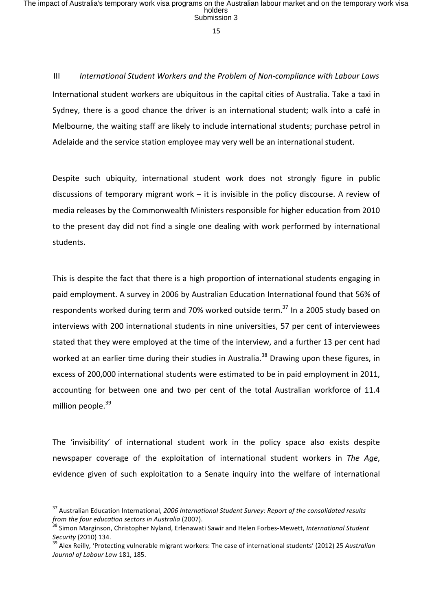III International Student Workers and the Problem of Non-compliance with Labour Laws International student workers are ubiquitous in the capital cities of Australia. Take a taxi in Sydney, there is a good chance the driver is an international student; walk into a café in Melbourne, the waiting staff are likely to include international students; purchase petrol in Adelaide and the service station employee may very well be an international student.

Despite such ubiquity, international student work does not strongly figure in public discussions of temporary migrant work  $-$  it is invisible in the policy discourse. A review of media releases by the Commonwealth Ministers responsible for higher education from 2010 to the present day did not find a single one dealing with work performed by international students.

This is despite the fact that there is a high proportion of international students engaging in paid employment. A survey in 2006 by Australian Education International found that 56% of respondents worked during term and 70% worked outside term.<sup>37</sup> In a 2005 study based on interviews with 200 international students in nine universities, 57 per cent of interviewees stated that they were employed at the time of the interview, and a further 13 per cent had worked at an earlier time during their studies in Australia.<sup>38</sup> Drawing upon these figures, in excess of 200,000 international students were estimated to be in paid employment in 2011, accounting for between one and two per cent of the total Australian workforce of 11.4 million people. $39$ 

The 'invisibility' of international student work in the policy space also exists despite newspaper coverage of the exploitation of international student workers in The Age, evidence given of such exploitation to a Senate inquiry into the welfare of international

<sup>&</sup>lt;sup>37</sup> Australian Education International, 2006 International Student Survey: Report of the consolidated results *from the four education sectors in Australia* (2007).<br><sup>38</sup> Simon Marginson, Christopher Nyland, Erlenawati Sawir and Helen Forbes-Mewett, *International Student* 

*Security* (2010) 134.<br><sup>39</sup> Alex Reilly, 'Protecting vulnerable migrant workers: The case of international students' (2012) 25 *Australian* 

Journal of Labour Law 181, 185.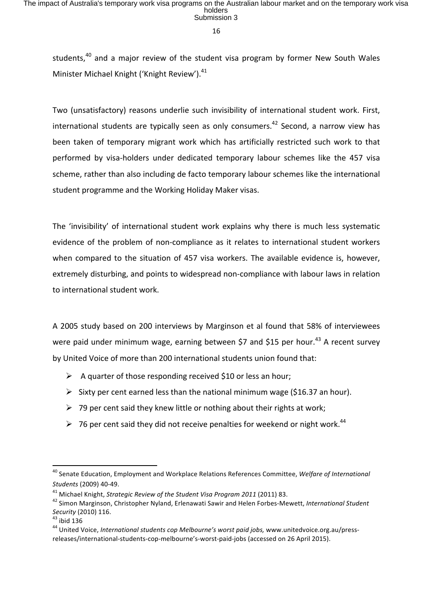students,<sup>40</sup> and a major review of the student visa program by former New South Wales Minister Michael Knight ('Knight Review').<sup>41</sup>

Two (unsatisfactory) reasons underlie such invisibility of international student work. First, international students are typically seen as only consumers.<sup>42</sup> Second, a narrow view has been taken of temporary migrant work which has artificially restricted such work to that performed by visa-holders under dedicated temporary labour schemes like the 457 visa scheme, rather than also including de facto temporary labour schemes like the international student programme and the Working Holiday Maker visas.

The 'invisibility' of international student work explains why there is much less systematic evidence of the problem of non-compliance as it relates to international student workers when compared to the situation of 457 visa workers. The available evidence is, however, extremely disturbing, and points to widespread non-compliance with labour laws in relation to international student work.

A 2005 study based on 200 interviews by Marginson et al found that 58% of interviewees were paid under minimum wage, earning between \$7 and \$15 per hour.<sup>43</sup> A recent survey by United Voice of more than 200 international students union found that:

- $\triangleright$  A quarter of those responding received \$10 or less an hour;
- $\triangleright$  Sixty per cent earned less than the national minimum wage (\$16.37 an hour).
- $\triangleright$  79 per cent said they knew little or nothing about their rights at work;
- $\triangleright$  76 per cent said they did not receive penalties for weekend or night work.<sup>44</sup>

 

<sup>&</sup>lt;sup>40</sup> Senate Education, Employment and Workplace Relations References Committee, *Welfare of International Students* (2009) 40-49.

<sup>&</sup>lt;sup>41</sup> Michael Knight, *Strategic Review of the Student Visa Program 2011* (2011) 83.<br><sup>42</sup> Simon Marginson, Christopher Nyland, Erlenawati Sawir and Helen Forbes-Mewett, *International Student*<br>Security (2010) 116.

<sup>&</sup>lt;sup>43</sup> ibid 136<br><sup>44</sup> United Voice, *International students cop Melbourne's worst paid jobs,* www.unitedvoice.org.au/pressreleases/international-students-cop-melbourne's-worst-paid-iobs (accessed on 26 April 2015).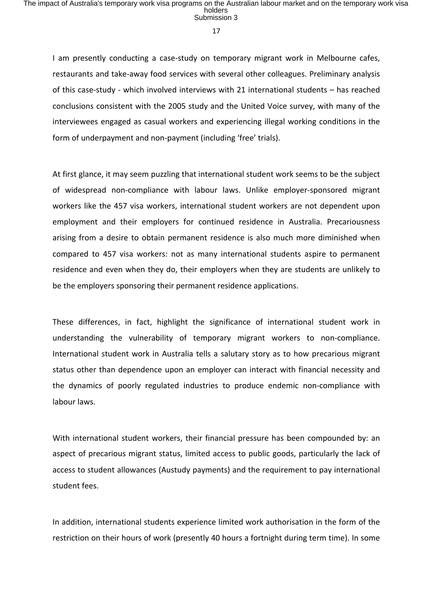I am presently conducting a case-study on temporary migrant work in Melbourne cafes, restaurants and take-away food services with several other colleagues. Preliminary analysis of this case-study - which involved interviews with 21 international students – has reached conclusions consistent with the 2005 study and the United Voice survey, with many of the interviewees engaged as casual workers and experiencing illegal working conditions in the form of underpayment and non-payment (including 'free' trials).

At first glance, it may seem puzzling that international student work seems to be the subject of widespread non-compliance with labour laws. Unlike employer-sponsored migrant workers like the 457 visa workers, international student workers are not dependent upon employment and their employers for continued residence in Australia. Precariousness arising from a desire to obtain permanent residence is also much more diminished when compared to 457 visa workers: not as many international students aspire to permanent residence and even when they do, their employers when they are students are unlikely to be the employers sponsoring their permanent residence applications.

These differences, in fact, highlight the significance of international student work in understanding the vulnerability of temporary migrant workers to non-compliance. International student work in Australia tells a salutary story as to how precarious migrant status other than dependence upon an employer can interact with financial necessity and the dynamics of poorly regulated industries to produce endemic non-compliance with labour laws.

With international student workers, their financial pressure has been compounded by: an aspect of precarious migrant status, limited access to public goods, particularly the lack of access to student allowances (Austudy payments) and the requirement to pay international student fees.

In addition, international students experience limited work authorisation in the form of the restriction on their hours of work (presently 40 hours a fortnight during term time). In some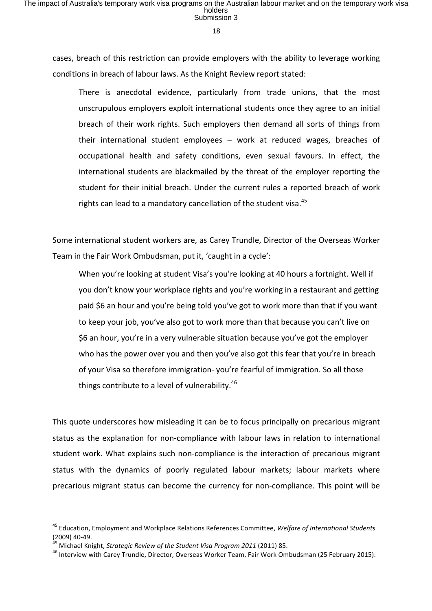cases, breach of this restriction can provide employers with the ability to leverage working conditions in breach of labour laws. As the Knight Review report stated:

There is anecdotal evidence, particularly from trade unions, that the most unscrupulous employers exploit international students once they agree to an initial breach of their work rights. Such employers then demand all sorts of things from their international student employees  $-$  work at reduced wages, breaches of occupational health and safety conditions, even sexual favours. In effect, the international students are blackmailed by the threat of the employer reporting the student for their initial breach. Under the current rules a reported breach of work rights can lead to a mandatory cancellation of the student visa.<sup>45</sup>

Some international student workers are, as Carey Trundle, Director of the Overseas Worker Team in the Fair Work Ombudsman, put it, 'caught in a cycle':

When you're looking at student Visa's you're looking at 40 hours a fortnight. Well if you don't know your workplace rights and you're working in a restaurant and getting paid \$6 an hour and you're being told you've got to work more than that if you want to keep your job, you've also got to work more than that because you can't live on \$6 an hour, you're in a very vulnerable situation because you've got the employer who has the power over you and then you've also got this fear that you're in breach of your Visa so therefore immigration- you're fearful of immigration. So all those things contribute to a level of vulnerability. $46$ 

This quote underscores how misleading it can be to focus principally on precarious migrant status as the explanation for non-compliance with labour laws in relation to international student work. What explains such non-compliance is the interaction of precarious migrant status with the dynamics of poorly regulated labour markets; labour markets where precarious migrant status can become the currency for non-compliance. This point will be

<sup>&</sup>lt;sup>45</sup> Education, Employment and Workplace Relations References Committee, Welfare of International Students (2009) 40-49.<br><sup>45</sup> Michael Knight, *Strategic Review of the Student Visa Program 2011* (2011) 85.<br><sup>46</sup> Interview with Carey Trundle, Director, Overseas Worker Team, Fair Work Ombudsman (25 February 2015).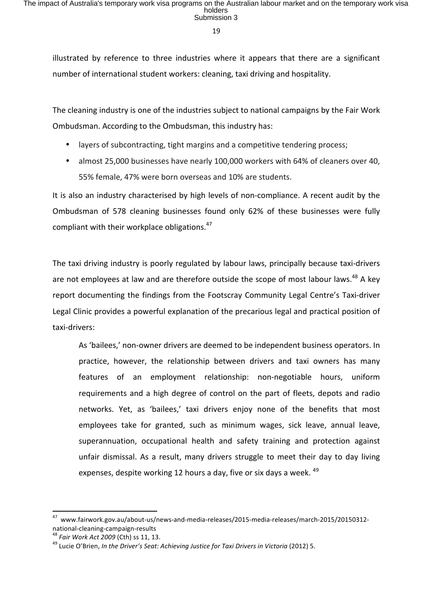illustrated by reference to three industries where it appears that there are a significant number of international student workers: cleaning, taxi driving and hospitality.

The cleaning industry is one of the industries subject to national campaigns by the Fair Work Ombudsman. According to the Ombudsman, this industry has:

- layers of subcontracting, tight margins and a competitive tendering process;
- almost 25,000 businesses have nearly 100,000 workers with 64% of cleaners over 40, 55% female, 47% were born overseas and 10% are students.

It is also an industry characterised by high levels of non-compliance. A recent audit by the Ombudsman of 578 cleaning businesses found only 62% of these businesses were fully compliant with their workplace obligations.<sup>47</sup>

The taxi driving industry is poorly regulated by labour laws, principally because taxi-drivers are not employees at law and are therefore outside the scope of most labour laws.<sup>48</sup> A kev report documenting the findings from the Footscray Community Legal Centre's Taxi-driver Legal Clinic provides a powerful explanation of the precarious legal and practical position of taxi-drivers:

As 'bailees,' non-owner drivers are deemed to be independent business operators. In practice, however, the relationship between drivers and taxi owners has many features of an employment relationship: non-negotiable hours, uniform requirements and a high degree of control on the part of fleets, depots and radio networks. Yet, as 'bailees,' taxi drivers enjoy none of the benefits that most employees take for granted, such as minimum wages, sick leave, annual leave, superannuation, occupational health and safety training and protection against unfair dismissal. As a result, many drivers struggle to meet their day to day living expenses, despite working 12 hours a day, five or six days a week.  $49$ 

<sup>&</sup>lt;sup>47</sup> www.fairwork.gov.au/about-us/news-and-media-releases/2015-media-releases/march-2015/20150312national-cleaning-campaign-results<br><sup>48</sup> *Fair Work Act 2009* (Cth) ss 11, 13.<br><sup>49</sup> Lucie O'Brien, *In the Driver's Seat: Achieving Justice for Taxi Drivers in Victoria* (2012) 5.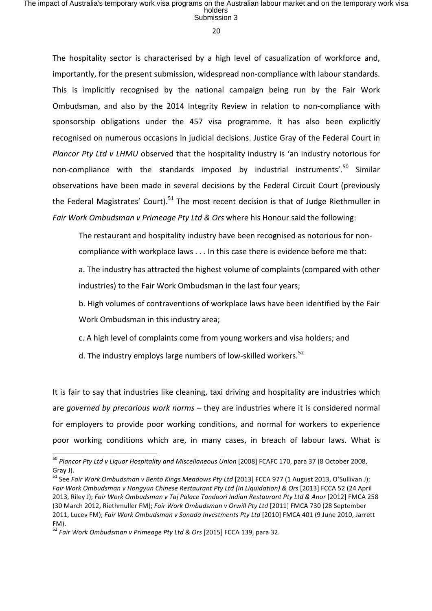The hospitality sector is characterised by a high level of casualization of workforce and, importantly, for the present submission, widespread non-compliance with labour standards. This is implicitly recognised by the national campaign being run by the Fair Work Ombudsman, and also by the 2014 Integrity Review in relation to non-compliance with sponsorship obligations under the 457 visa programme. It has also been explicitly recognised on numerous occasions in judicial decisions. Justice Gray of the Federal Court in *Plancor Pty Ltd v LHMU* observed that the hospitality industry is 'an industry notorious for non-compliance with the standards imposed by industrial instruments'.<sup>50</sup> Similar observations have been made in several decisions by the Federal Circuit Court (previously the Federal Magistrates' Court).<sup>51</sup> The most recent decision is that of Judge Riethmuller in *Fair Work Ombudsman v Primeage Pty Ltd & Ors* where his Honour said the following:

The restaurant and hospitality industry have been recognised as notorious for non-

compliance with workplace laws  $\dots$  In this case there is evidence before me that:

a. The industry has attracted the highest volume of complaints (compared with other industries) to the Fair Work Ombudsman in the last four years;

b. High volumes of contraventions of workplace laws have been identified by the Fair Work Ombudsman in this industry area;

c. A high level of complaints come from young workers and visa holders; and

d. The industry employs large numbers of low-skilled workers.<sup>52</sup>

It is fair to say that industries like cleaning, taxi driving and hospitality are industries which are *governed by precarious work norms* – they are industries where it is considered normal for employers to provide poor working conditions, and normal for workers to experience poor working conditions which are, in many cases, in breach of labour laws. What is

<sup>&</sup>lt;sup>50</sup> Plancor Pty Ltd v Liquor Hospitality and Miscellaneous Union [2008] FCAFC 170, para 37 (8 October 2008, Gray J).

<sup>&</sup>lt;sup>51</sup> See *Fair Work Ombudsman v Bento Kings Meadows Pty Ltd* [2013] FCCA 977 (1 August 2013, O'Sullivan J); Fair Work Ombudsman v Hongyun Chinese Restaurant Pty Ltd (In Liquidation) & Ors [2013] FCCA 52 (24 April 2013, Riley J); *Fair Work Ombudsman v Taj Palace Tandoori Indian Restaurant Pty Ltd & Anor* [2012] FMCA 258 (30 March 2012, Riethmuller FM); *Fair Work Ombudsman v Orwill Pty Ltd* [2011] FMCA 730 (28 September 2011, Lucev FM); Fair Work Ombudsman v Sanada Investments Pty Ltd [2010] FMCA 401 (9 June 2010, Jarrett FM).

<sup>&</sup>lt;sup>52</sup> Fair Work Ombudsman v Primeage Pty Ltd & Ors [2015] FCCA 139, para 32.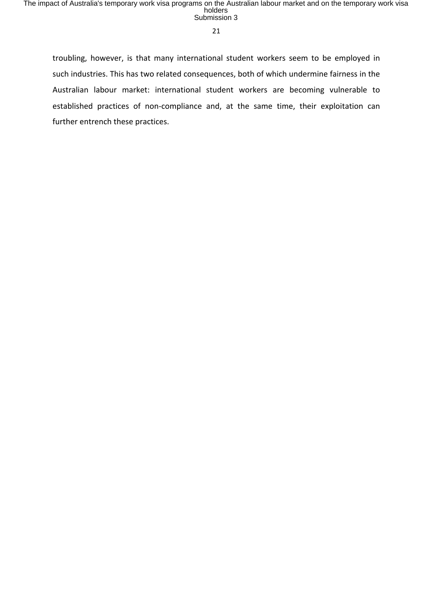21

troubling, however, is that many international student workers seem to be employed in such industries. This has two related consequences, both of which undermine fairness in the Australian labour market: international student workers are becoming vulnerable to established practices of non-compliance and, at the same time, their exploitation can further entrench these practices.